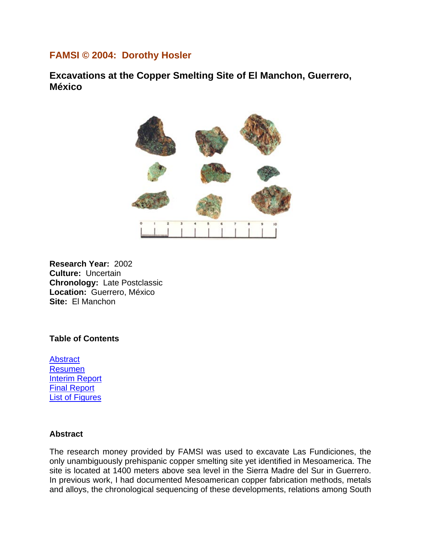# **FAMSI © 2004: Dorothy Hosler**

**Excavations at the Copper Smelting Site of El Manchon, Guerrero, México** 



**Research Year:** 2002 **Culture:** Uncertain **Chronology:** Late Postclassic **Location:** Guerrero, México **Site:** El Manchon

#### **Table of Contents**

**[Abstract](#page-0-0)** [Resumen](#page-1-0) [Interim Report](#page-2-0) [Final Report](#page-7-0) [List of Figures](#page-24-0)

#### <span id="page-0-0"></span>**Abstract**

The research money provided by FAMSI was used to excavate Las Fundiciones, the only unambiguously prehispanic copper smelting site yet identified in Mesoamerica. The site is located at 1400 meters above sea level in the Sierra Madre del Sur in Guerrero. In previous work, I had documented Mesoamerican copper fabrication methods, metals and alloys, the chronological sequencing of these developments, relations among South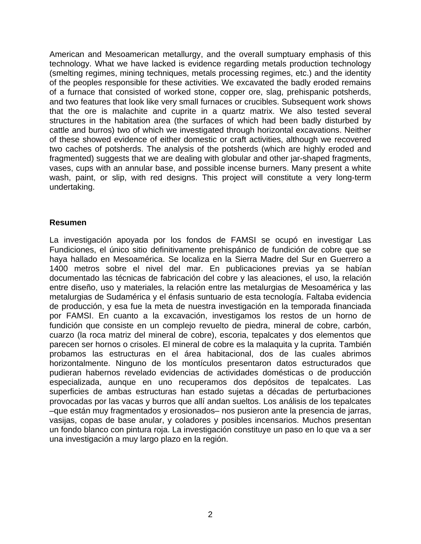American and Mesoamerican metallurgy, and the overall sumptuary emphasis of this technology. What we have lacked is evidence regarding metals production technology (smelting regimes, mining techniques, metals processing regimes, etc.) and the identity of the peoples responsible for these activities. We excavated the badly eroded remains of a furnace that consisted of worked stone, copper ore, slag, prehispanic potsherds, and two features that look like very small furnaces or crucibles. Subsequent work shows that the ore is malachite and cuprite in a quartz matrix. We also tested several structures in the habitation area (the surfaces of which had been badly disturbed by cattle and burros) two of which we investigated through horizontal excavations. Neither of these showed evidence of either domestic or craft activities, although we recovered two caches of potsherds. The analysis of the potsherds (which are highly eroded and fragmented) suggests that we are dealing with globular and other jar-shaped fragments, vases, cups with an annular base, and possible incense burners. Many present a white wash, paint, or slip, with red designs. This project will constitute a very long-term undertaking.

### <span id="page-1-0"></span>**Resumen**

La investigación apoyada por los fondos de FAMSI se ocupó en investigar Las Fundiciones, el único sitio definitivamente prehispánico de fundición de cobre que se haya hallado en Mesoamérica. Se localiza en la Sierra Madre del Sur en Guerrero a 1400 metros sobre el nivel del mar. En publicaciones previas ya se habían documentado las técnicas de fabricación del cobre y las aleaciones, el uso, la relación entre diseño, uso y materiales, la relación entre las metalurgias de Mesoamérica y las metalurgias de Sudamérica y el énfasis suntuario de esta tecnología. Faltaba evidencia de producción, y esa fue la meta de nuestra investigación en la temporada financiada por FAMSI. En cuanto a la excavación, investigamos los restos de un horno de fundición que consiste en un complejo revuelto de piedra, mineral de cobre, carbón, cuarzo (la roca matriz del mineral de cobre), escoria, tepalcates y dos elementos que parecen ser hornos o crisoles. El mineral de cobre es la malaquita y la cuprita. También probamos las estructuras en el área habitacional, dos de las cuales abrimos horizontalmente. Ninguno de los montículos presentaron datos estructurados que pudieran habernos revelado evidencias de actividades domésticas o de producción especializada, aunque en uno recuperamos dos depósitos de tepalcates. Las superficies de ambas estructuras han estado sujetas a décadas de perturbaciones provocadas por las vacas y burros que allí andan sueltos. Los análisis de los tepalcates –que están muy fragmentados y erosionados– nos pusieron ante la presencia de jarras, vasijas, copas de base anular, y coladores y posibles incensarios. Muchos presentan un fondo blanco con pintura roja. La investigación constituye un paso en lo que va a ser una investigación a muy largo plazo en la región.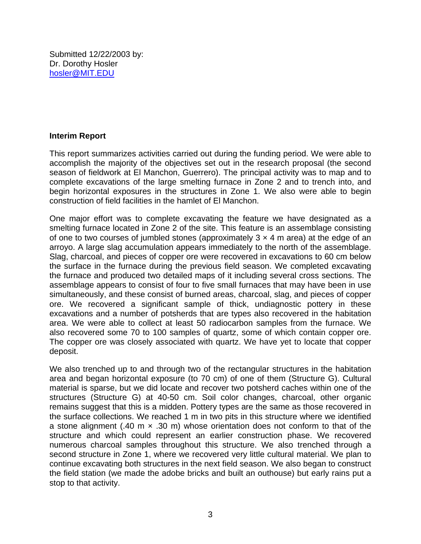Submitted 12/22/2003 by: Dr. Dorothy Hosler [hosler@MIT.EDU](mailto:hosler@MIT.EDU)

## <span id="page-2-0"></span>**Interim Report**

This report summarizes activities carried out during the funding period. We were able to accomplish the majority of the objectives set out in the research proposal (the second season of fieldwork at El Manchon, Guerrero). The principal activity was to map and to complete excavations of the large smelting furnace in Zone 2 and to trench into, and begin horizontal exposures in the structures in Zone 1. We also were able to begin construction of field facilities in the hamlet of El Manchon.

One major effort was to complete excavating the feature we have designated as a smelting furnace located in Zone 2 of the site. This feature is an assemblage consisting of one to two courses of jumbled stones (approximately  $3 \times 4$  m area) at the edge of an arroyo. A large slag accumulation appears immediately to the north of the assemblage. Slag, charcoal, and pieces of copper ore were recovered in excavations to 60 cm below the surface in the furnace during the previous field season. We completed excavating the furnace and produced two detailed maps of it including several cross sections. The assemblage appears to consist of four to five small furnaces that may have been in use simultaneously, and these consist of burned areas, charcoal, slag, and pieces of copper ore. We recovered a significant sample of thick, undiagnostic pottery in these excavations and a number of potsherds that are types also recovered in the habitation area. We were able to collect at least 50 radiocarbon samples from the furnace. We also recovered some 70 to 100 samples of quartz, some of which contain copper ore. The copper ore was closely associated with quartz. We have yet to locate that copper deposit.

We also trenched up to and through two of the rectangular structures in the habitation area and began horizontal exposure (to 70 cm) of one of them (Structure G). Cultural material is sparse, but we did locate and recover two potsherd caches within one of the structures (Structure G) at 40-50 cm. Soil color changes, charcoal, other organic remains suggest that this is a midden. Pottery types are the same as those recovered in the surface collections. We reached 1 m in two pits in this structure where we identified a stone alignment (.40 m  $\times$  .30 m) whose orientation does not conform to that of the structure and which could represent an earlier construction phase. We recovered numerous charcoal samples throughout this structure. We also trenched through a second structure in Zone 1, where we recovered very little cultural material. We plan to continue excavating both structures in the next field season. We also began to construct the field station (we made the adobe bricks and built an outhouse) but early rains put a stop to that activity.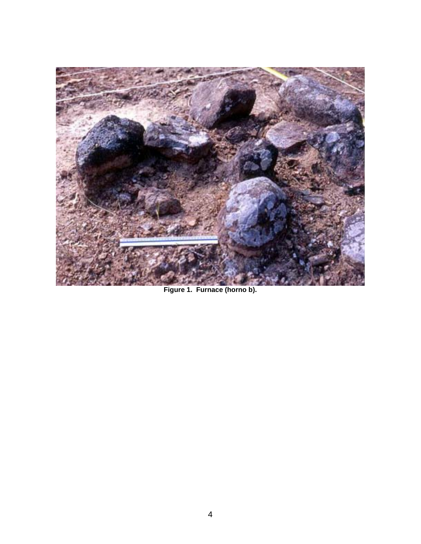<span id="page-3-0"></span>

**Figure 1. Furnace (horno b).**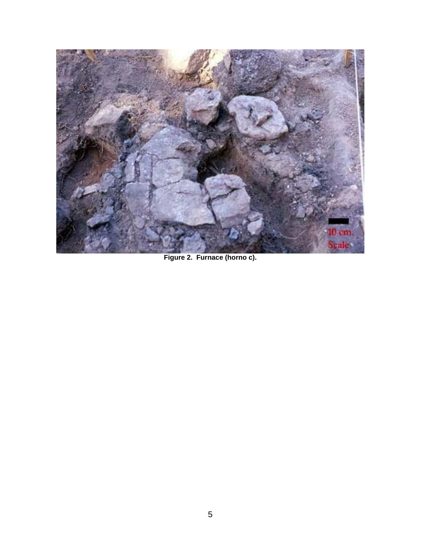<span id="page-4-0"></span>

**Figure 2. Furnace (horno c).**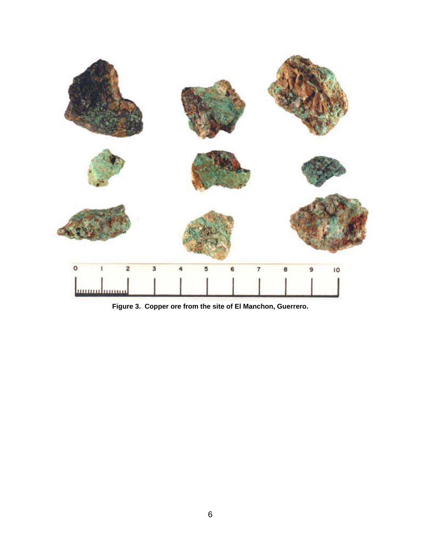<span id="page-5-0"></span>

**Figure 3. Copper ore from the site of El Manchon, Guerrero.**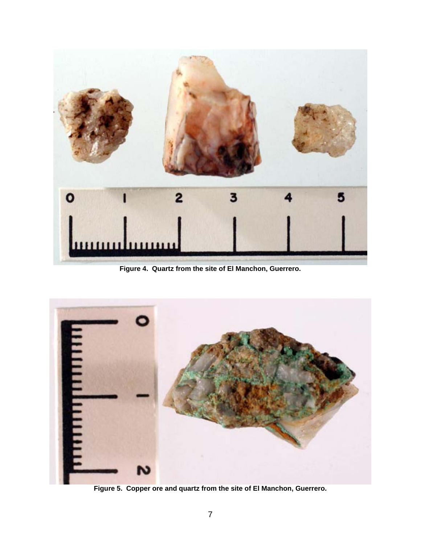<span id="page-6-0"></span>

**Figure 4. Quartz from the site of El Manchon, Guerrero.** 

<span id="page-6-1"></span>

**Figure 5. Copper ore and quartz from the site of El Manchon, Guerrero.**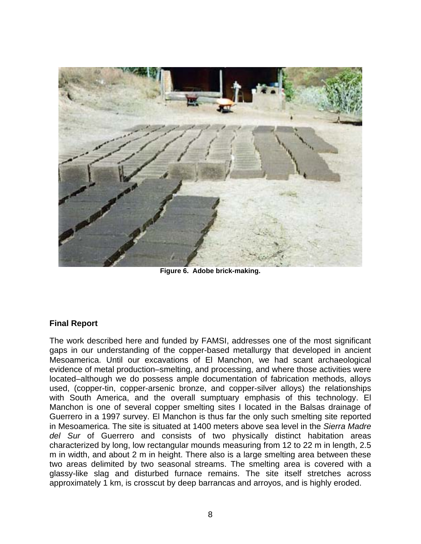<span id="page-7-1"></span>

**Figure 6. Adobe brick-making.** 

## <span id="page-7-0"></span>**Final Report**

The work described here and funded by FAMSI, addresses one of the most significant gaps in our understanding of the copper-based metallurgy that developed in ancient Mesoamerica. Until our excavations of El Manchon, we had scant archaeological evidence of metal production–smelting, and processing, and where those activities were located–although we do possess ample documentation of fabrication methods, alloys used, (copper-tin, copper-arsenic bronze, and copper-silver alloys) the relationships with South America, and the overall sumptuary emphasis of this technology. El Manchon is one of several copper smelting sites I located in the Balsas drainage of Guerrero in a 1997 survey. El Manchon is thus far the only such smelting site reported in Mesoamerica. The site is situated at 1400 meters above sea level in the *Sierra Madre del Sur* of Guerrero and consists of two physically distinct habitation areas characterized by long, low rectangular mounds measuring from 12 to 22 m in length, 2.5 m in width, and about 2 m in height. There also is a large smelting area between these two areas delimited by two seasonal streams. The smelting area is covered with a glassy-like slag and disturbed furnace remains. The site itself stretches across approximately 1 km, is crosscut by deep barrancas and arroyos, and is highly eroded.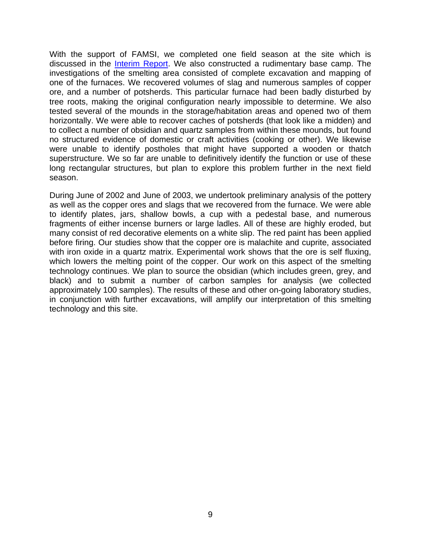With the support of FAMSI, we completed one field season at the site which is discussed in the *[Interim Report](#page-2-0)*. We also constructed a rudimentary base camp. The investigations of the smelting area consisted of complete excavation and mapping of one of the furnaces. We recovered volumes of slag and numerous samples of copper ore, and a number of potsherds. This particular furnace had been badly disturbed by tree roots, making the original configuration nearly impossible to determine. We also tested several of the mounds in the storage/habitation areas and opened two of them horizontally. We were able to recover caches of potsherds (that look like a midden) and to collect a number of obsidian and quartz samples from within these mounds, but found no structured evidence of domestic or craft activities (cooking or other). We likewise were unable to identify postholes that might have supported a wooden or thatch superstructure. We so far are unable to definitively identify the function or use of these long rectangular structures, but plan to explore this problem further in the next field season.

During June of 2002 and June of 2003, we undertook preliminary analysis of the pottery as well as the copper ores and slags that we recovered from the furnace. We were able to identify plates, jars, shallow bowls, a cup with a pedestal base, and numerous fragments of either incense burners or large ladles. All of these are highly eroded, but many consist of red decorative elements on a white slip. The red paint has been applied before firing. Our studies show that the copper ore is malachite and cuprite, associated with iron oxide in a quartz matrix. Experimental work shows that the ore is self fluxing, which lowers the melting point of the copper. Our work on this aspect of the smelting technology continues. We plan to source the obsidian (which includes green, grey, and black) and to submit a number of carbon samples for analysis (we collected approximately 100 samples). The results of these and other on-going laboratory studies, in conjunction with further excavations, will amplify our interpretation of this smelting technology and this site.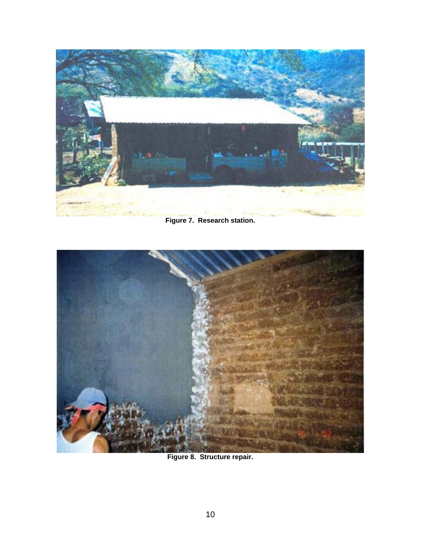<span id="page-9-0"></span>

**Figure 7. Research station.** 

<span id="page-9-1"></span>

**Figure 8. Structure repair.**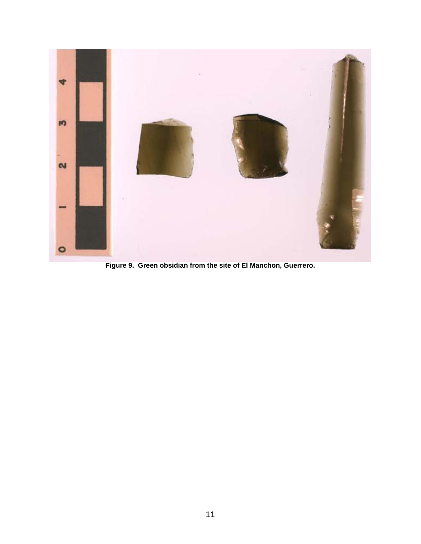<span id="page-10-0"></span>

**Figure 9. Green obsidian from the site of El Manchon, Guerrero.**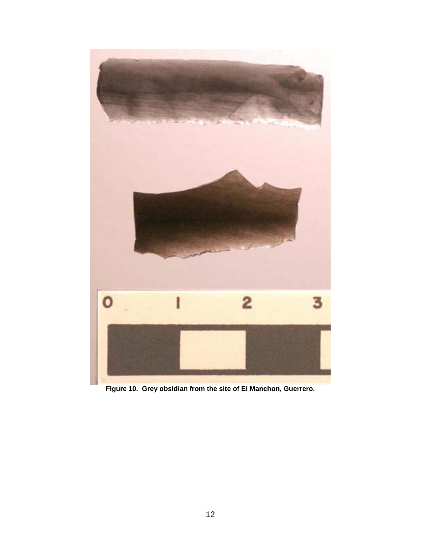<span id="page-11-0"></span>

**Figure 10. Grey obsidian from the site of El Manchon, Guerrero.**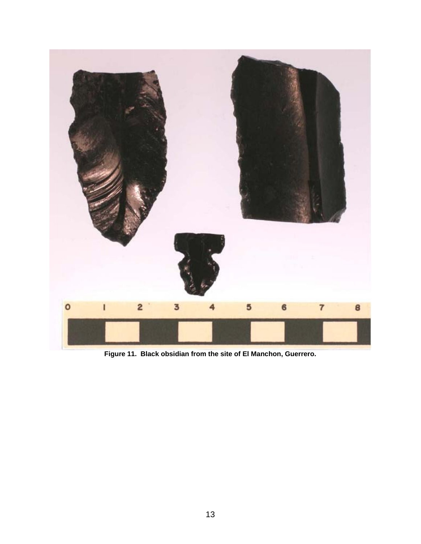<span id="page-12-0"></span>

**Figure 11. Black obsidian from the site of El Manchon, Guerrero.**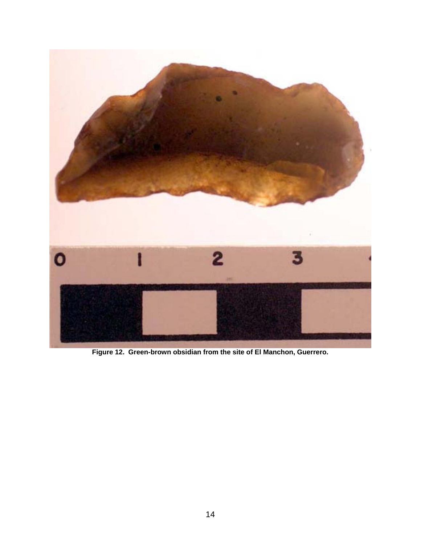<span id="page-13-0"></span>

**Figure 12. Green-brown obsidian from the site of El Manchon, Guerrero.**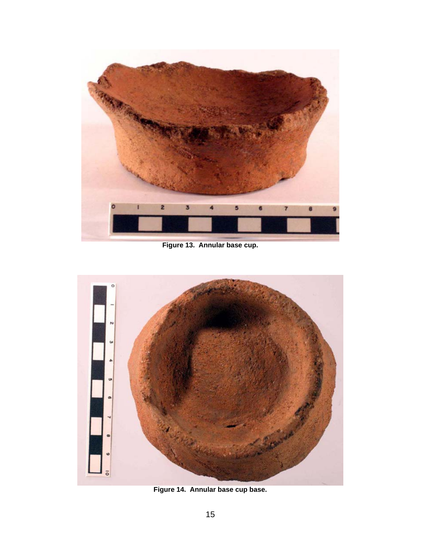<span id="page-14-0"></span>

**Figure 13. Annular base cup.** 

<span id="page-14-1"></span>

**Figure 14. Annular base cup base.**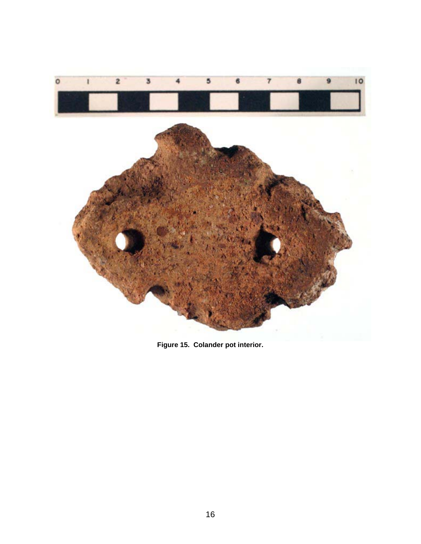<span id="page-15-0"></span>

**Figure 15. Colander pot interior.**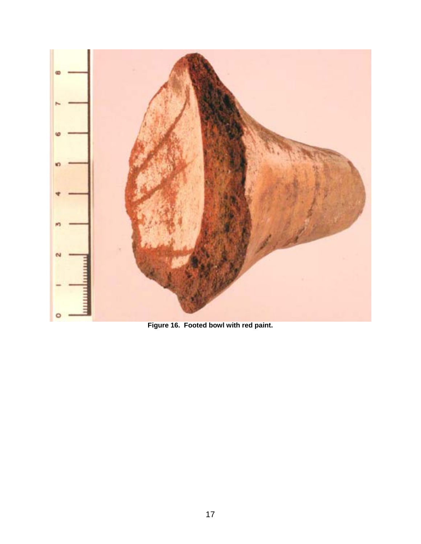<span id="page-16-0"></span>

**Figure 16. Footed bowl with red paint.**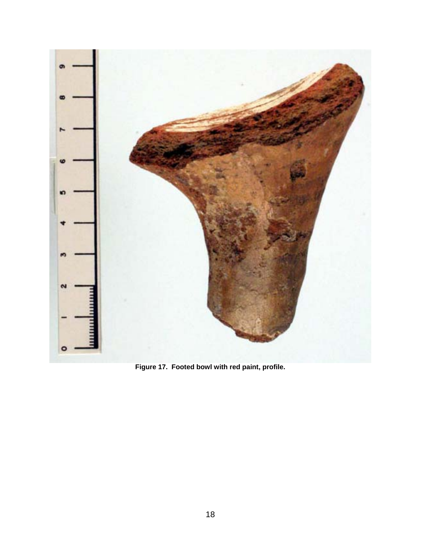<span id="page-17-0"></span>

**Figure 17. Footed bowl with red paint, profile.**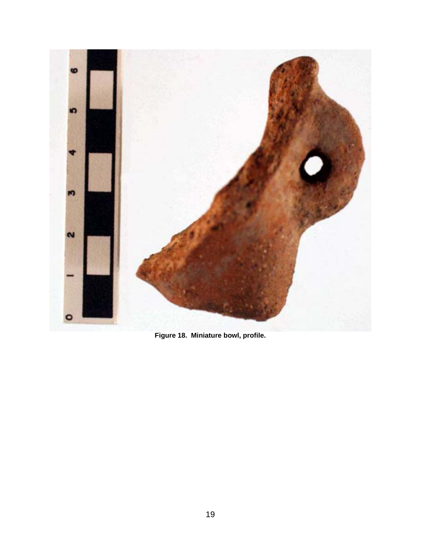<span id="page-18-0"></span>

**Figure 18. Miniature bowl, profile.**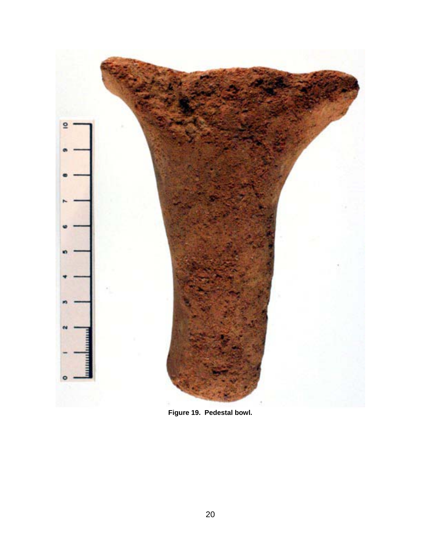<span id="page-19-0"></span>

**Figure 19. Pedestal bowl.**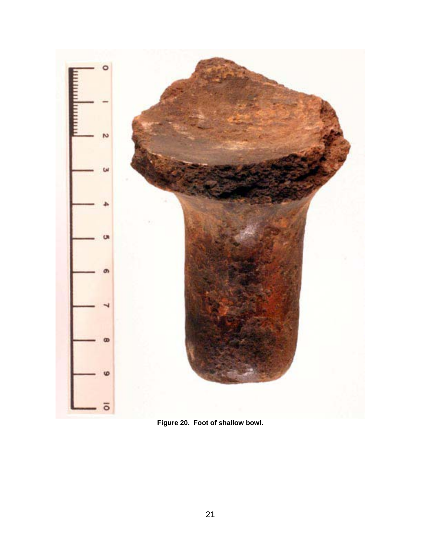<span id="page-20-0"></span>

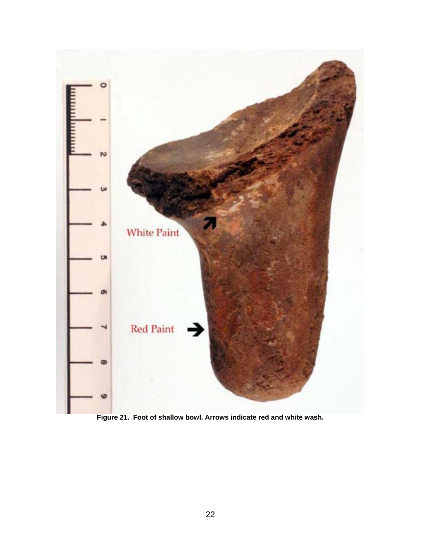<span id="page-21-0"></span>

**Figure 21. Foot of shallow bowl. Arrows indicate red and white wash.**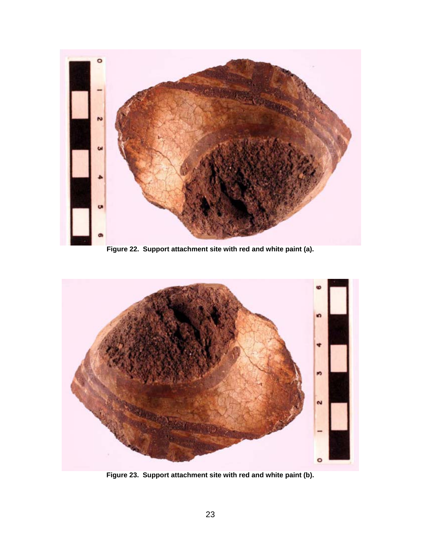<span id="page-22-0"></span>

**Figure 22. Support attachment site with red and white paint (a).** 

<span id="page-22-1"></span>

**Figure 23. Support attachment site with red and white paint (b).**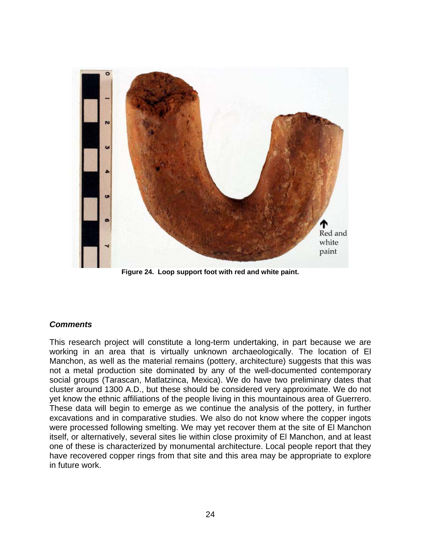<span id="page-23-0"></span>

**Figure 24. Loop support foot with red and white paint.** 

## *Comments*

This research project will constitute a long-term undertaking, in part because we are working in an area that is virtually unknown archaeologically. The location of El Manchon, as well as the material remains (pottery, architecture) suggests that this was not a metal production site dominated by any of the well-documented contemporary social groups (Tarascan, Matlatzinca, Mexica). We do have two preliminary dates that cluster around 1300 A.D., but these should be considered very approximate. We do not yet know the ethnic affiliations of the people living in this mountainous area of Guerrero. These data will begin to emerge as we continue the analysis of the pottery, in further excavations and in comparative studies. We also do not know where the copper ingots were processed following smelting. We may yet recover them at the site of El Manchon itself, or alternatively, several sites lie within close proximity of El Manchon, and at least one of these is characterized by monumental architecture. Local people report that they have recovered copper rings from that site and this area may be appropriate to explore in future work.